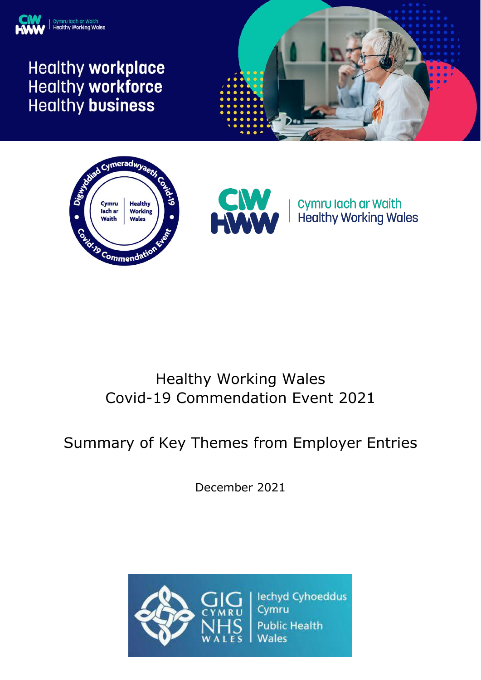

# **Healthy workplace** Healthy workforce **Healthy business**







Cymru Iach ar Waith **Healthy Working Wales** 

# Healthy Working Wales Covid-19 Commendation Event 2021

# Summary of Key Themes from Employer Entries

December 2021

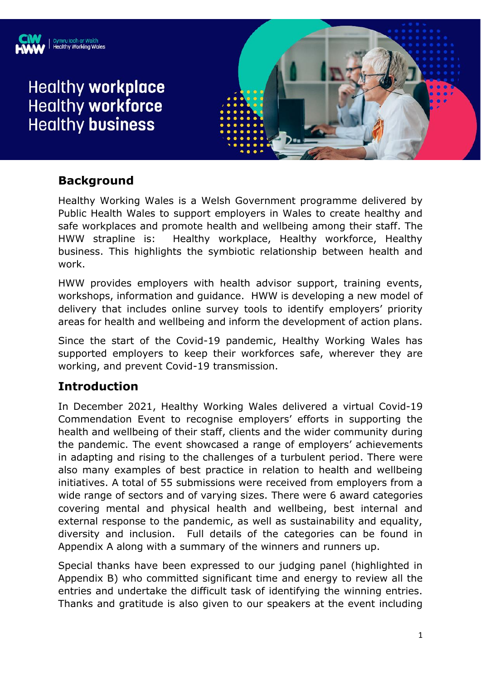

# **Healthy workplace Healthy workforce Healthy business**



#### **Background**

Healthy Working Wales is a Welsh Government programme delivered by Public Health Wales to support employers in Wales to create healthy and safe workplaces and promote health and wellbeing among their staff. The HWW strapline is: Healthy workplace, Healthy workforce, Healthy business. This highlights the symbiotic relationship between health and work.

HWW provides employers with health advisor support, training events, workshops, information and guidance. HWW is developing a new model of delivery that includes online survey tools to identify employers' priority areas for health and wellbeing and inform the development of action plans.

Since the start of the Covid-19 pandemic, Healthy Working Wales has supported employers to keep their workforces safe, wherever they are working, and prevent Covid-19 transmission.

#### **Introduction**

In December 2021, Healthy Working Wales delivered a virtual Covid-19 Commendation Event to recognise employers' efforts in supporting the health and wellbeing of their staff, clients and the wider community during the pandemic. The event showcased a range of employers' achievements in adapting and rising to the challenges of a turbulent period. There were also many examples of best practice in relation to health and wellbeing initiatives. A total of 55 submissions were received from employers from a wide range of sectors and of varying sizes. There were 6 award categories covering mental and physical health and wellbeing, best internal and external response to the pandemic, as well as sustainability and equality, diversity and inclusion. Full details of the categories can be found in Appendix A along with a summary of the winners and runners up.

Special thanks have been expressed to our judging panel (highlighted in Appendix B) who committed significant time and energy to review all the entries and undertake the difficult task of identifying the winning entries. Thanks and gratitude is also given to our speakers at the event including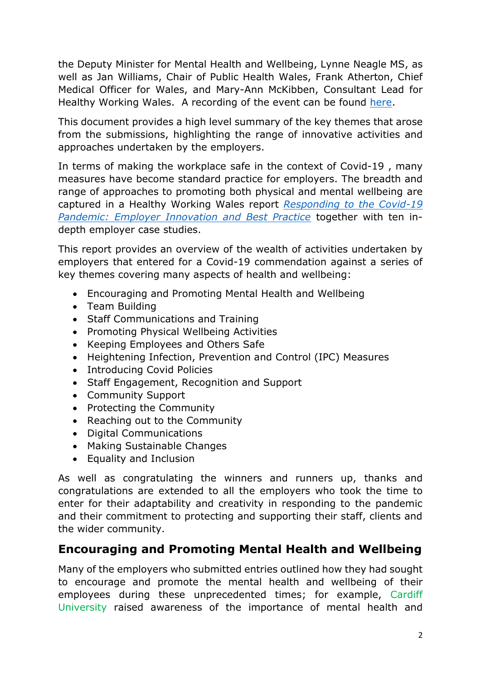the Deputy Minister for Mental Health and Wellbeing, Lynne Neagle MS, as well as Jan Williams, Chair of Public Health Wales, Frank Atherton, Chief Medical Officer for Wales, and Mary-Ann McKibben, Consultant Lead for Healthy Working Wales. A recording of the event can be found [here.](https://freshwater.eventscase.com/EN/HWWCommendationEvent/On-demand)

This document provides a high level summary of the key themes that arose from the submissions, highlighting the range of innovative activities and approaches undertaken by the employers.

In terms of making the workplace safe in the context of Covid-19 , many measures have become standard practice for employers. The breadth and range of approaches to promoting both physical and mental wellbeing are captured in a Healthy Working Wales report *[Responding to the Covid-19](https://phw.nhs.wales/services-and-teams/healthy-working-wales/employer-case-studies/employer-case-studies-responding-to-the-covid-19-pandemic/)  [Pandemic: Employer Innovation and Best Practice](https://phw.nhs.wales/services-and-teams/healthy-working-wales/employer-case-studies/employer-case-studies-responding-to-the-covid-19-pandemic/)* together with ten indepth employer case studies.

This report provides an overview of the wealth of activities undertaken by employers that entered for a Covid-19 commendation against a series of key themes covering many aspects of health and wellbeing:

- Encouraging and Promoting Mental Health and Wellbeing
- Team Building
- Staff Communications and Training
- Promoting Physical Wellbeing Activities
- Keeping Employees and Others Safe
- Heightening Infection, Prevention and Control (IPC) Measures
- Introducing Covid Policies
- Staff Engagement, Recognition and Support
- Community Support
- Protecting the Community
- Reaching out to the Community
- Digital Communications
- Making Sustainable Changes
- Equality and Inclusion

As well as congratulating the winners and runners up, thanks and congratulations are extended to all the employers who took the time to enter for their adaptability and creativity in responding to the pandemic and their commitment to protecting and supporting their staff, clients and the wider community.

#### **Encouraging and Promoting Mental Health and Wellbeing**

Many of the employers who submitted entries outlined how they had sought to encourage and promote the mental health and wellbeing of their employees during these unprecedented times; for example, Cardiff University raised awareness of the importance of mental health and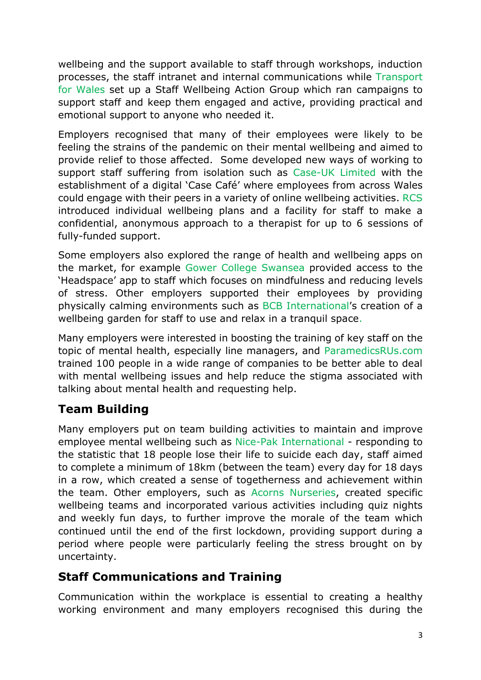wellbeing and the support available to staff through workshops, induction processes, the staff intranet and internal communications while Transport for Wales set up a Staff Wellbeing Action Group which ran campaigns to support staff and keep them engaged and active, providing practical and emotional support to anyone who needed it.

Employers recognised that many of their employees were likely to be feeling the strains of the pandemic on their mental wellbeing and aimed to provide relief to those affected. Some developed new ways of working to support staff suffering from isolation such as Case-UK Limited with the establishment of a digital 'Case Café' where employees from across Wales could engage with their peers in a variety of online wellbeing activities. RCS introduced individual wellbeing plans and a facility for staff to make a confidential, anonymous approach to a therapist for up to 6 sessions of fully-funded support.

Some employers also explored the range of health and wellbeing apps on the market, for example Gower College Swansea provided access to the 'Headspace' app to staff which focuses on mindfulness and reducing levels of stress. Other employers supported their employees by providing physically calming environments such as BCB International's creation of a wellbeing garden for staff to use and relax in a tranquil space.

Many employers were interested in boosting the training of key staff on the topic of mental health, especially line managers, and ParamedicsRUs.com trained 100 people in a wide range of companies to be better able to deal with mental wellbeing issues and help reduce the stigma associated with talking about mental health and requesting help.

### **Team Building**

Many employers put on team building activities to maintain and improve employee mental wellbeing such as Nice-Pak International - responding to the statistic that 18 people lose their life to suicide each day, staff aimed to complete a minimum of 18km (between the team) every day for 18 days in a row, which created a sense of togetherness and achievement within the team. Other employers, such as Acorns Nurseries, created specific wellbeing teams and incorporated various activities including quiz nights and weekly fun days, to further improve the morale of the team which continued until the end of the first lockdown, providing support during a period where people were particularly feeling the stress brought on by uncertainty.

### **Staff Communications and Training**

Communication within the workplace is essential to creating a healthy working environment and many employers recognised this during the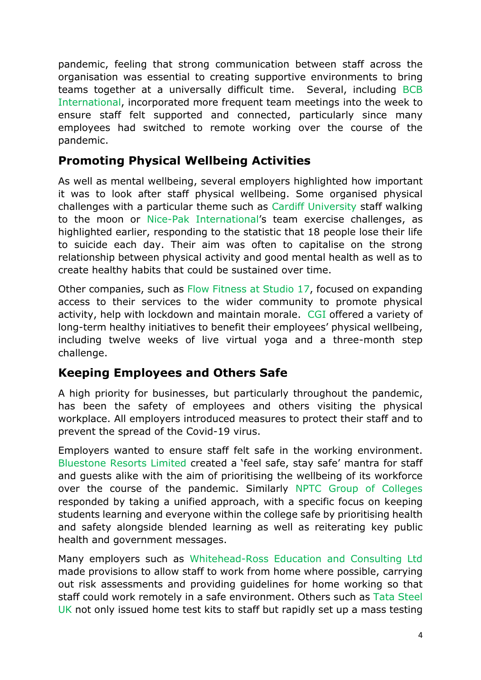pandemic, feeling that strong communication between staff across the organisation was essential to creating supportive environments to bring teams together at a universally difficult time. Several, including BCB International, incorporated more frequent team meetings into the week to ensure staff felt supported and connected, particularly since many employees had switched to remote working over the course of the pandemic.

#### **Promoting Physical Wellbeing Activities**

As well as mental wellbeing, several employers highlighted how important it was to look after staff physical wellbeing. Some organised physical challenges with a particular theme such as Cardiff University staff walking to the moon or Nice-Pak International's team exercise challenges, as highlighted earlier, responding to the statistic that 18 people lose their life to suicide each day. Their aim was often to capitalise on the strong relationship between physical activity and good mental health as well as to create healthy habits that could be sustained over time.

Other companies, such as Flow Fitness at Studio 17, focused on expanding access to their services to the wider community to promote physical activity, help with lockdown and maintain morale. CGI offered a variety of long-term healthy initiatives to benefit their employees' physical wellbeing, including twelve weeks of live virtual yoga and a three-month step challenge.

#### **Keeping Employees and Others Safe**

A high priority for businesses, but particularly throughout the pandemic, has been the safety of employees and others visiting the physical workplace. All employers introduced measures to protect their staff and to prevent the spread of the Covid-19 virus.

Employers wanted to ensure staff felt safe in the working environment. Bluestone Resorts Limited created a 'feel safe, stay safe' mantra for staff and guests alike with the aim of prioritising the wellbeing of its workforce over the course of the pandemic. Similarly NPTC Group of Colleges responded by taking a unified approach, with a specific focus on keeping students learning and everyone within the college safe by prioritising health and safety alongside blended learning as well as reiterating key public health and government messages.

Many employers such as Whitehead-Ross Education and Consulting Ltd made provisions to allow staff to work from home where possible, carrying out risk assessments and providing guidelines for home working so that staff could work remotely in a safe environment. Others such as Tata Steel UK not only issued home test kits to staff but rapidly set up a mass testing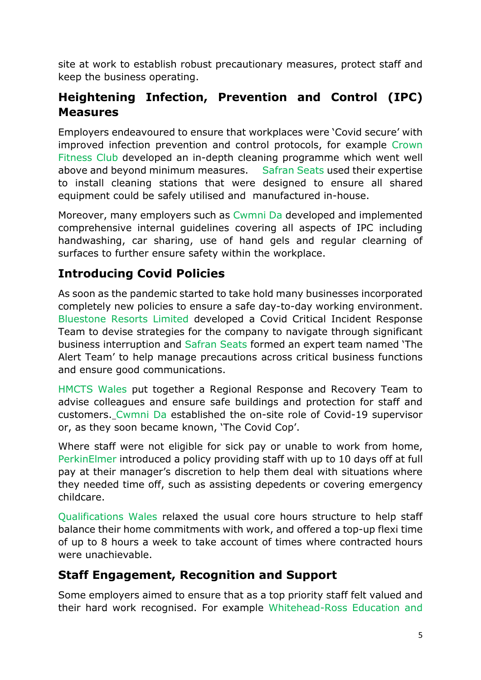site at work to establish robust precautionary measures, protect staff and keep the business operating.

### **Heightening Infection, Prevention and Control (IPC) Measures**

Employers endeavoured to ensure that workplaces were 'Covid secure' with improved infection prevention and control protocols, for example Crown Fitness Club developed an in-depth cleaning programme which went well above and beyond minimum measures. Safran Seats used their expertise to install cleaning stations that were designed to ensure all shared equipment could be safely utilised and manufactured in-house.

Moreover, many employers such as Cwmni Da developed and implemented comprehensive internal guidelines covering all aspects of IPC including handwashing, car sharing, use of hand gels and regular clearning of surfaces to further ensure safety within the workplace.

#### **Introducing Covid Policies**

As soon as the pandemic started to take hold many businesses incorporated completely new policies to ensure a safe day-to-day working environment. Bluestone Resorts Limited developed a Covid Critical Incident Response Team to devise strategies for the company to navigate through significant business interruption and Safran Seats formed an expert team named 'The Alert Team' to help manage precautions across critical business functions and ensure good communications.

HMCTS Wales put together a Regional Response and Recovery Team to advise colleagues and ensure safe buildings and protection for staff and customers. Cwmni Da established the on-site role of Covid-19 supervisor or, as they soon became known, 'The Covid Cop'.

Where staff were not eligible for sick pay or unable to work from home, PerkinElmer introduced a policy providing staff with up to 10 days off at full pay at their manager's discretion to help them deal with situations where they needed time off, such as assisting depedents or covering emergency childcare.

Qualifications Wales relaxed the usual core hours structure to help staff balance their home commitments with work, and offered a top-up flexi time of up to 8 hours a week to take account of times where contracted hours were unachievable.

#### **Staff Engagement, Recognition and Support**

Some employers aimed to ensure that as a top priority staff felt valued and their hard work recognised. For example Whitehead-Ross Education and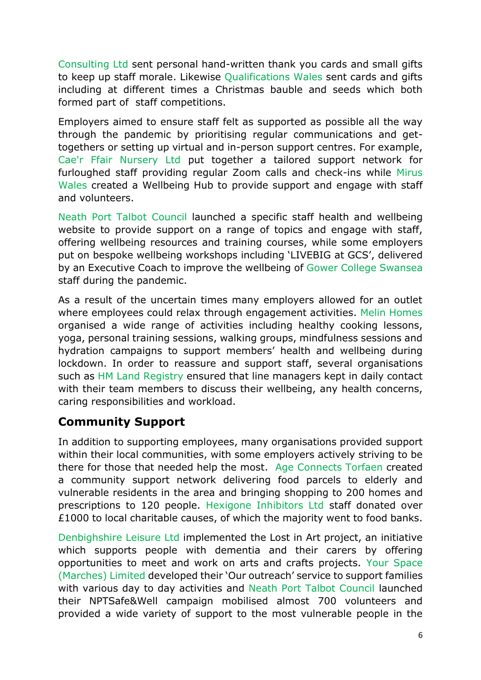Consulting Ltd sent personal hand-written thank you cards and small gifts to keep up staff morale. Likewise Qualifications Wales sent cards and gifts including at different times a Christmas bauble and seeds which both formed part of staff competitions.

Employers aimed to ensure staff felt as supported as possible all the way through the pandemic by prioritising regular communications and gettogethers or setting up virtual and in-person support centres. For example, Cae'r Ffair Nursery Ltd put together a tailored support network for furloughed staff providing regular Zoom calls and check-ins while Mirus Wales created a Wellbeing Hub to provide support and engage with staff and volunteers.

Neath Port Talbot Council launched a specific staff health and wellbeing website to provide support on a range of topics and engage with staff, offering wellbeing resources and training courses, while some employers put on bespoke wellbeing workshops including 'LIVEBIG at GCS', delivered by an Executive Coach to improve the wellbeing of Gower College Swansea staff during the pandemic.

As a result of the uncertain times many employers allowed for an outlet where employees could relax through engagement activities. Melin Homes organised a wide range of activities including healthy cooking lessons, yoga, personal training sessions, walking groups, mindfulness sessions and hydration campaigns to support members' health and wellbeing during lockdown. In order to reassure and support staff, several organisations such as HM Land Registry ensured that line managers kept in daily contact with their team members to discuss their wellbeing, any health concerns, caring responsibilities and workload.

#### **Community Support**

In addition to supporting employees, many organisations provided support within their local communities, with some employers actively striving to be there for those that needed help the most. Age Connects Torfaen created a community support network delivering food parcels to elderly and vulnerable residents in the area and bringing shopping to 200 homes and prescriptions to 120 people. Hexigone Inhibitors Ltd staff donated over £1000 to local charitable causes, of which the majority went to food banks.

Denbighshire Leisure Ltd implemented the Lost in Art project, an initiative which supports people with dementia and their carers by offering opportunities to meet and work on arts and crafts projects. Your Space (Marches) Limited developed their 'Our outreach' service to support families with various day to day activities and Neath Port Talbot Council launched their NPTSafe&Well campaign mobilised almost 700 volunteers and provided a wide variety of support to the most vulnerable people in the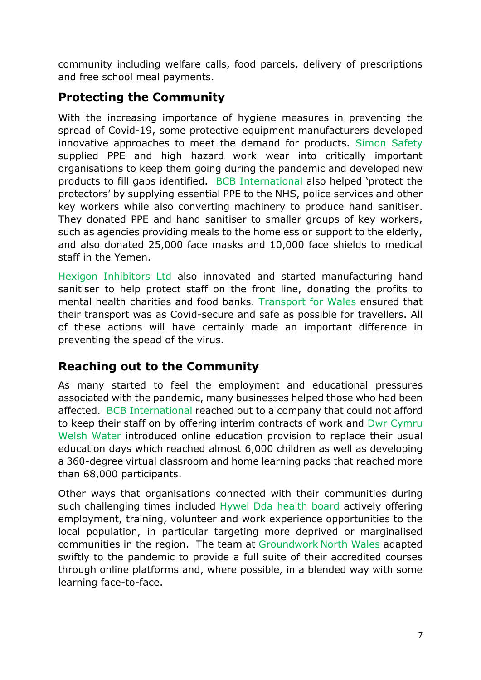community including welfare calls, food parcels, delivery of prescriptions and free school meal payments.

#### **Protecting the Community**

With the increasing importance of hygiene measures in preventing the spread of Covid-19, some protective equipment manufacturers developed innovative approaches to meet the demand for products. Simon Safety supplied PPE and high hazard work wear into critically important organisations to keep them going during the pandemic and developed new products to fill gaps identified. BCB International also helped 'protect the protectors' by supplying essential PPE to the NHS, police services and other key workers while also converting machinery to produce hand sanitiser. They donated PPE and hand sanitiser to smaller groups of key workers, such as agencies providing meals to the homeless or support to the elderly, and also donated 25,000 face masks and 10,000 face shields to medical staff in the Yemen.

Hexigon Inhibitors Ltd also innovated and started manufacturing hand sanitiser to help protect staff on the front line, donating the profits to mental health charities and food banks. Transport for Wales ensured that their transport was as Covid-secure and safe as possible for travellers. All of these actions will have certainly made an important difference in preventing the spead of the virus.

#### **Reaching out to the Community**

As many started to feel the employment and educational pressures associated with the pandemic, many businesses helped those who had been affected. BCB International reached out to a company that could not afford to keep their staff on by offering interim contracts of work and Dwr Cymru Welsh Water introduced online education provision to replace their usual education days which reached almost 6,000 children as well as developing a 360-degree virtual classroom and home learning packs that reached more than 68,000 participants.

Other ways that organisations connected with their communities during such challenging times included Hywel Dda health board actively offering employment, training, volunteer and work experience opportunities to the local population, in particular targeting more deprived or marginalised communities in the region. The team at Groundwork North Wales adapted swiftly to the pandemic to provide a full suite of their accredited courses through online platforms and, where possible, in a blended way with some learning face-to-face.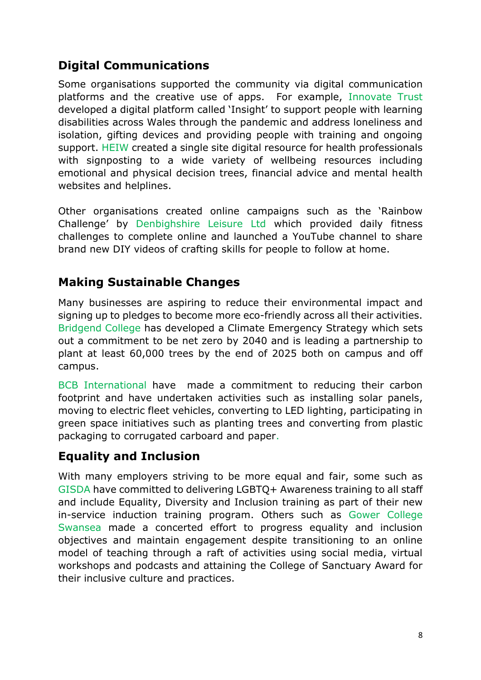## **Digital Communications**

Some organisations supported the community via digital communication platforms and the creative use of apps. For example, Innovate Trust developed a digital platform called 'Insight' to support people with learning disabilities across Wales through the pandemic and address loneliness and isolation, gifting devices and providing people with training and ongoing support. HEIW created a single site digital resource for health professionals with signposting to a wide variety of wellbeing resources including emotional and physical decision trees, financial advice and mental health websites and helplines.

Other organisations created online campaigns such as the 'Rainbow Challenge' by Denbighshire Leisure Ltd which provided daily fitness challenges to complete online and launched a YouTube channel to share brand new DIY videos of crafting skills for people to follow at home.

#### **Making Sustainable Changes**

Many businesses are aspiring to reduce their environmental impact and signing up to pledges to become more eco-friendly across all their activities. Bridgend College has developed a Climate Emergency Strategy which sets out a commitment to be net zero by 2040 and is leading a partnership to plant at least 60,000 trees by the end of 2025 both on campus and off campus.

BCB International have made a commitment to reducing their carbon footprint and have undertaken activities such as installing solar panels, moving to electric fleet vehicles, converting to LED lighting, participating in green space initiatives such as planting trees and converting from plastic packaging to corrugated carboard and paper.

### **Equality and Inclusion**

With many employers striving to be more equal and fair, some such as GISDA have committed to delivering LGBTQ+ Awareness training to all staff and include Equality, Diversity and Inclusion training as part of their new in-service induction training program. Others such as Gower College Swansea made a concerted effort to progress equality and inclusion objectives and maintain engagement despite transitioning to an online model of teaching through a raft of activities using social media, virtual workshops and podcasts and attaining the College of Sanctuary Award for their inclusive culture and practices.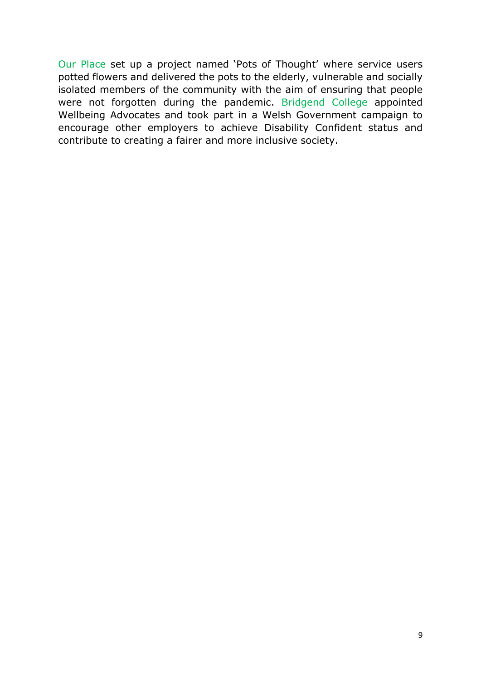Our Place set up a project named 'Pots of Thought' where service users potted flowers and delivered the pots to the elderly, vulnerable and socially isolated members of the community with the aim of ensuring that people were not forgotten during the pandemic. Bridgend College appointed Wellbeing Advocates and took part in a Welsh Government campaign to encourage other employers to achieve Disability Confident status and contribute to creating a fairer and more inclusive society.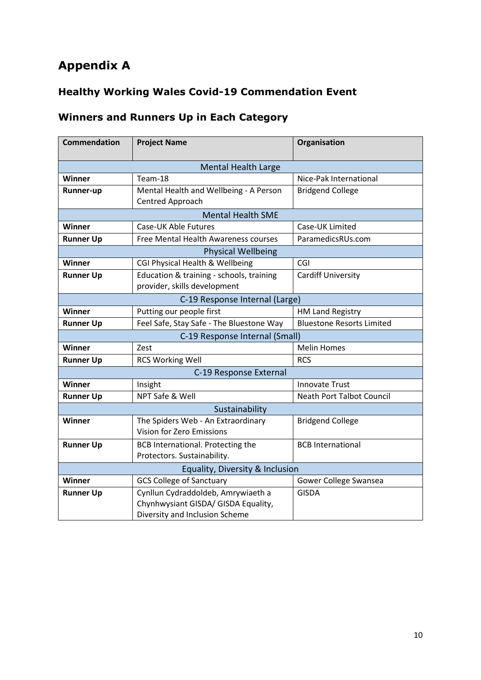## **Appendix A**

### **Healthy Working Wales Covid-19 Commendation Event**

### **Winners and Runners Up in Each Category**

| <b>Commendation</b>                                                                                   | <b>Project Name</b>                                                      | Organisation                     |
|-------------------------------------------------------------------------------------------------------|--------------------------------------------------------------------------|----------------------------------|
| <b>Mental Health Large</b>                                                                            |                                                                          |                                  |
| Winner                                                                                                | Team-18                                                                  | Nice-Pak International           |
| <b>Runner-up</b>                                                                                      | Mental Health and Wellbeing - A Person<br>Centred Approach               | <b>Bridgend College</b>          |
| <b>Mental Health SME</b>                                                                              |                                                                          |                                  |
| Winner                                                                                                | Case-UK Able Futures                                                     | Case-UK Limited                  |
| <b>Runner Up</b>                                                                                      | Free Mental Health Awareness courses                                     | ParamedicsRUs.com                |
| <b>Physical Wellbeing</b>                                                                             |                                                                          |                                  |
| <b>Winner</b>                                                                                         | CGI Physical Health & Wellbeing                                          | CGI                              |
| <b>Runner Up</b>                                                                                      | Education & training - schools, training<br>provider, skills development | <b>Cardiff University</b>        |
| C-19 Response Internal (Large)                                                                        |                                                                          |                                  |
| Winner                                                                                                | Putting our people first                                                 | <b>HM Land Registry</b>          |
| <b>Runner Up</b>                                                                                      | Feel Safe, Stay Safe - The Bluestone Way                                 | <b>Bluestone Resorts Limited</b> |
| C-19 Response Internal (Small)                                                                        |                                                                          |                                  |
| Winner                                                                                                | Zest                                                                     | <b>Melin Homes</b>               |
| <b>Runner Up</b>                                                                                      | <b>RCS Working Well</b>                                                  | <b>RCS</b>                       |
| C-19 Response External                                                                                |                                                                          |                                  |
| Winner                                                                                                | Insight                                                                  | <b>Innovate Trust</b>            |
| <b>Runner Up</b>                                                                                      | NPT Safe & Well                                                          | <b>Neath Port Talbot Council</b> |
| Sustainability                                                                                        |                                                                          |                                  |
| <b>Winner</b>                                                                                         | The Spiders Web - An Extraordinary<br>Vision for Zero Emissions          | <b>Bridgend College</b>          |
| <b>Runner Up</b>                                                                                      | BCB International. Protecting the<br>Protectors. Sustainability.         | <b>BCB</b> International         |
|                                                                                                       |                                                                          |                                  |
| Equality, Diversity & Inclusion<br><b>GCS College of Sanctuary</b><br>Winner<br>Gower College Swansea |                                                                          |                                  |
|                                                                                                       | Cynllun Cydraddoldeb, Amrywiaeth a                                       | <b>GISDA</b>                     |
| <b>Runner Up</b>                                                                                      | Chynhwysiant GISDA/ GISDA Equality,<br>Diversity and Inclusion Scheme    |                                  |